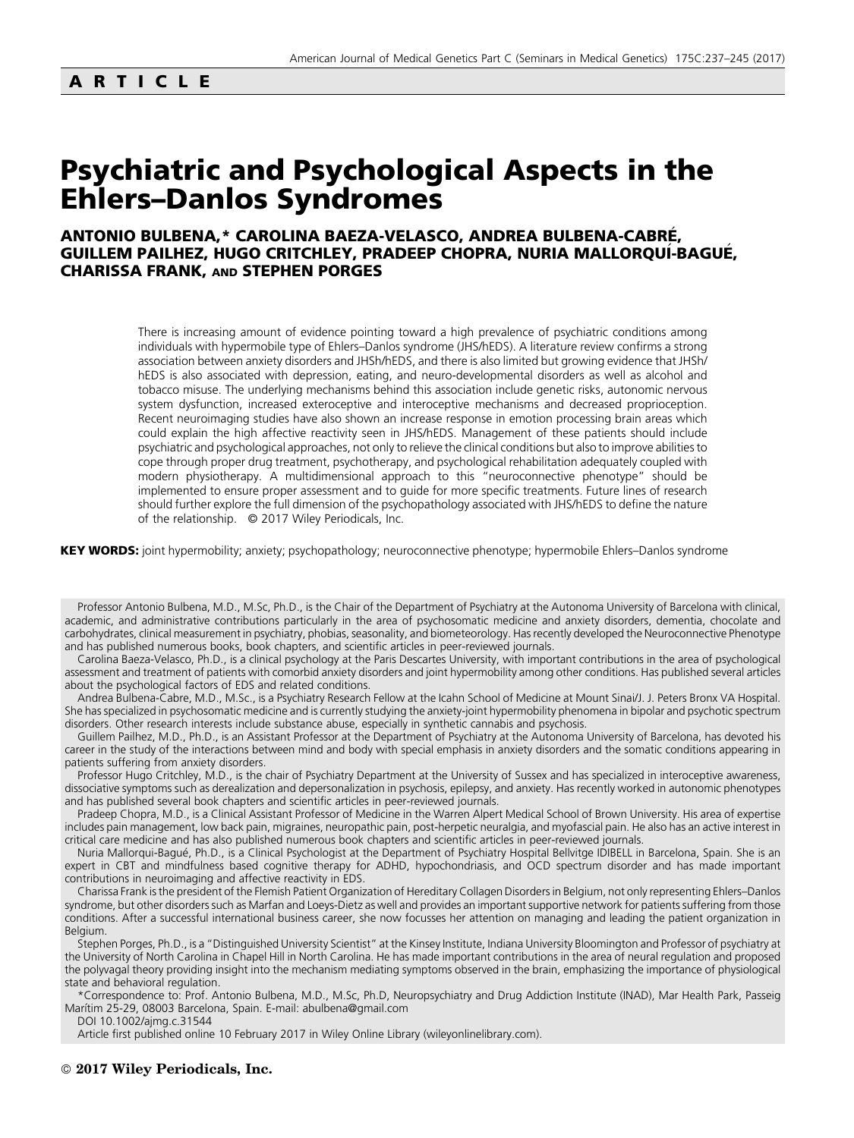# ARTICLE

# Psychiatric and Psychological Aspects in the Ehlers–Danlos Syndromes

# ANTONIO BULBENA,\* CAROLINA BAEZA-VELASCO, ANDREA BULBENA-CABRE, GUILLEM PAILHEZ, HUGO CRITCHLEY, PRADEEP CHOPRA, NURIA MALLORQUI-BAGUE, CHARISSA FRANK, AND STEPHEN PORGES

There is increasing amount of evidence pointing toward a high prevalence of psychiatric conditions among individuals with hypermobile type of Ehlers–Danlos syndrome (JHS/hEDS). A literature review confirms a strong association between anxiety disorders and JHSh/hEDS, and there is also limited but growing evidence that JHSh/ hEDS is also associated with depression, eating, and neuro-developmental disorders as well as alcohol and tobacco misuse. The underlying mechanisms behind this association include genetic risks, autonomic nervous system dysfunction, increased exteroceptive and interoceptive mechanisms and decreased proprioception. Recent neuroimaging studies have also shown an increase response in emotion processing brain areas which could explain the high affective reactivity seen in JHS/hEDS. Management of these patients should include psychiatric and psychological approaches, not only to relieve the clinical conditions but also to improve abilities to cope through proper drug treatment, psychotherapy, and psychological rehabilitation adequately coupled with modern physiotherapy. A multidimensional approach to this "neuroconnective phenotype" should be implemented to ensure proper assessment and to guide for more specific treatments. Future lines of research should further explore the full dimension of the psychopathology associated with JHS/hEDS to define the nature of the relationship. © 2017 Wiley Periodicals, Inc.

KEY WORDS: joint hypermobility; anxiety; psychopathology; neuroconnective phenotype; hypermobile Ehlers–Danlos syndrome

Professor Antonio Bulbena, M.D., M.Sc, Ph.D., is the Chair of the Department of Psychiatry at the Autonoma University of Barcelona with clinical, academic, and administrative contributions particularly in the area of psychosomatic medicine and anxiety disorders, dementia, chocolate and carbohydrates, clinical measurement in psychiatry, phobias, seasonality, and biometeorology. Has recently developed the Neuroconnective Phenotype and has published numerous books, book chapters, and scientific articles in peer-reviewed journals.

Carolina Baeza-Velasco, Ph.D., is a clinical psychology at the Paris Descartes University, with important contributions in the area of psychological assessment and treatment of patients with comorbid anxiety disorders and joint hypermobility among other conditions. Has published several articles about the psychological factors of EDS and related conditions.

Andrea Bulbena-Cabre, M.D., M.Sc., is a Psychiatry Research Fellow at the Icahn School of Medicine at Mount Sinai/J. J. Peters Bronx VA Hospital. She has specialized in psychosomatic medicine and is currently studying the anxiety-joint hypermobility phenomena in bipolar and psychotic spectrum disorders. Other research interests include substance abuse, especially in synthetic cannabis and psychosis.

Guillem Pailhez, M.D., Ph.D., is an Assistant Professor at the Department of Psychiatry at the Autonoma University of Barcelona, has devoted his career in the study of the interactions between mind and body with special emphasis in anxiety disorders and the somatic conditions appearing in patients suffering from anxiety disorders.

Professor Hugo Critchley, M.D., is the chair of Psychiatry Department at the University of Sussex and has specialized in interoceptive awareness, dissociative symptoms such as derealization and depersonalization in psychosis, epilepsy, and anxiety. Has recently worked in autonomic phenotypes and has published several book chapters and scientific articles in peer-reviewed journals.

Pradeep Chopra, M.D., is a Clinical Assistant Professor of Medicine in the Warren Alpert Medical School of Brown University. His area of expertise includes pain management, low back pain, migraines, neuropathic pain, post-herpetic neuralgia, and myofascial pain. He also has an active interest in critical care medicine and has also published numerous book chapters and scientific articles in peer-reviewed journals.

Nuria Mallorqui-Bague, Ph.D., is a Clinical Psychologist at the Department of Psychiatry Hospital Bellvitge IDIBELL in Barcelona, Spain. She is an expert in CBT and mindfulness based cognitive therapy for ADHD, hypochondriasis, and OCD spectrum disorder and has made important contributions in neuroimaging and affective reactivity in EDS.

Charissa Frank is the president of the Flemish Patient Organization of Hereditary Collagen Disorders in Belgium, not only representing Ehlers–Danlos syndrome, but other disorders such as Marfan and Loeys-Dietz as well and provides an important supportive network for patients suffering from those conditions. After a successful international business career, she now focusses her attention on managing and leading the patient organization in Belgium.

Stephen Porges, Ph.D., is a "Distinguished University Scientist" at the Kinsey Institute, Indiana University Bloomington and Professor of psychiatry at the University of North Carolina in Chapel Hill in North Carolina. He has made important contributions in the area of neural regulation and proposed the polyvagal theory providing insight into the mechanism mediating symptoms observed in the brain, emphasizing the importance of physiological state and behavioral regulation.

\*Correspondence to: Prof. Antonio Bulbena, M.D., M.Sc, Ph.D, Neuropsychiatry and Drug Addiction Institute (INAD), Mar Health Park, Passeig Marítim 25-29, 08003 Barcelona, Spain. E-mail: abulbena@gmail.com

DOI 10.1002/ajmg.c.31544

Article first published online 10 February 2017 in Wiley Online Library (wileyonlinelibrary.com).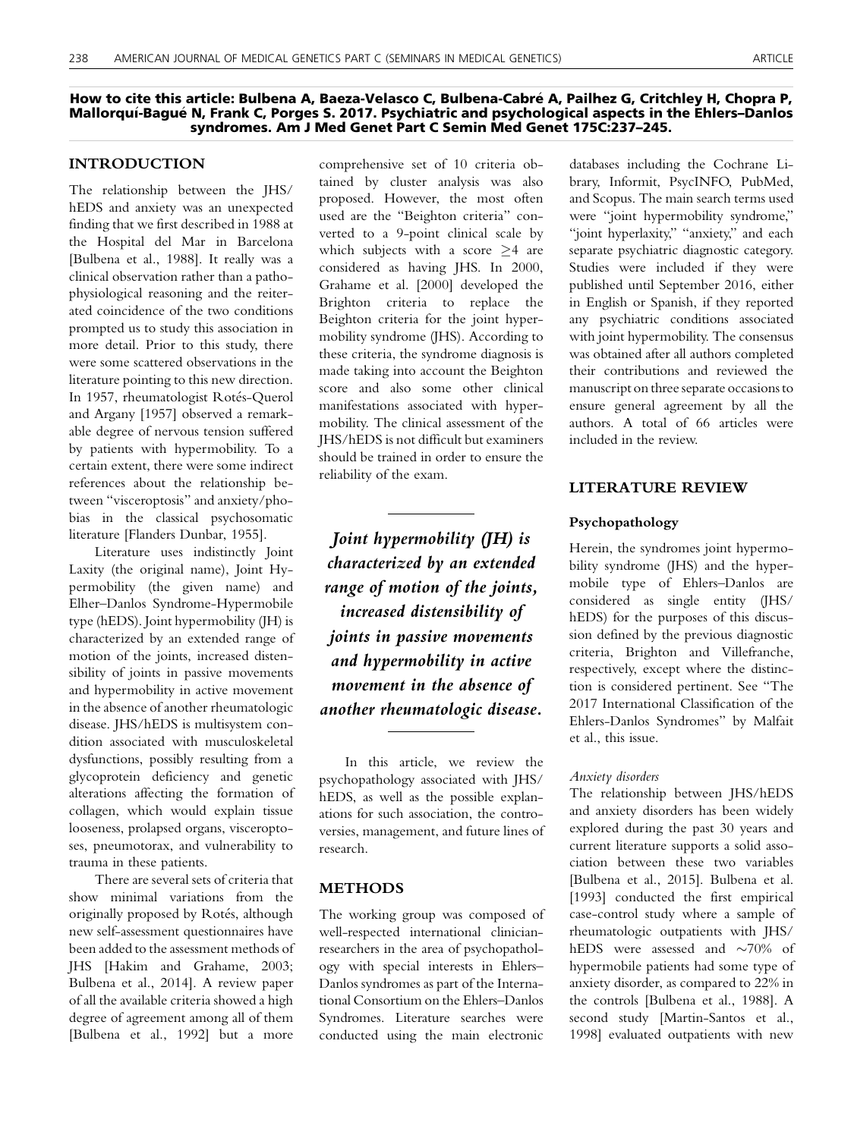## How to cite this article: Bulbena A, Baeza-Velasco C, Bulbena-Cabre A, Pailhez G, Critchley H, Chopra P, Mallorgui-Bagué N, Frank C, Porges S. 2017. Psychiatric and psychological aspects in the Ehlers-Danlos syndromes. Am J Med Genet Part C Semin Med Genet 175C:237–245.

## INTRODUCTION

The relationship between the JHS/ hEDS and anxiety was an unexpected finding that we first described in 1988 at the Hospital del Mar in Barcelona [Bulbena et al., 1988]. It really was a clinical observation rather than a pathophysiological reasoning and the reiterated coincidence of the two conditions prompted us to study this association in more detail. Prior to this study, there were some scattered observations in the literature pointing to this new direction. In 1957, rheumatologist Rotés-Querol and Argany [1957] observed a remarkable degree of nervous tension suffered by patients with hypermobility. To a certain extent, there were some indirect references about the relationship between "visceroptosis" and anxiety/phobias in the classical psychosomatic literature [Flanders Dunbar, 1955].

Literature uses indistinctly Joint Laxity (the original name), Joint Hypermobility (the given name) and Elher–Danlos Syndrome-Hypermobile type (hEDS). Joint hypermobility (JH) is characterized by an extended range of motion of the joints, increased distensibility of joints in passive movements and hypermobility in active movement in the absence of another rheumatologic disease. JHS/hEDS is multisystem condition associated with musculoskeletal dysfunctions, possibly resulting from a glycoprotein deficiency and genetic alterations affecting the formation of collagen, which would explain tissue looseness, prolapsed organs, visceroptoses, pneumotorax, and vulnerability to trauma in these patients.

There are several sets of criteria that show minimal variations from the originally proposed by Rotés, although new self-assessment questionnaires have been added to the assessment methods of JHS [Hakim and Grahame, 2003; Bulbena et al., 2014]. A review paper of all the available criteria showed a high degree of agreement among all of them [Bulbena et al., 1992] but a more

comprehensive set of 10 criteria obtained by cluster analysis was also proposed. However, the most often used are the "Beighton criteria" converted to a 9-point clinical scale by which subjects with a score  $\geq 4$  are considered as having JHS. In 2000, Grahame et al. [2000] developed the Brighton criteria to replace the Beighton criteria for the joint hypermobility syndrome (JHS). According to these criteria, the syndrome diagnosis is made taking into account the Beighton score and also some other clinical manifestations associated with hypermobility. The clinical assessment of the JHS/hEDS is not difficult but examiners should be trained in order to ensure the reliability of the exam.

Joint hypermobility (JH) is characterized by an extended range of motion of the joints, increased distensibility of joints in passive movements and hypermobility in active movement in the absence of another rheumatologic disease.

In this article, we review the psychopathology associated with JHS/ hEDS, as well as the possible explanations for such association, the controversies, management, and future lines of research.

## **METHODS**

The working group was composed of well-respected international clinicianresearchers in the area of psychopathology with special interests in Ehlers– Danlos syndromes as part of the International Consortium on the Ehlers–Danlos Syndromes. Literature searches were conducted using the main electronic

databases including the Cochrane Library, Informit, PsycINFO, PubMed, and Scopus. The main search terms used were "joint hypermobility syndrome," "joint hyperlaxity," "anxiety," and each separate psychiatric diagnostic category. Studies were included if they were published until September 2016, either in English or Spanish, if they reported any psychiatric conditions associated with joint hypermobility. The consensus was obtained after all authors completed their contributions and reviewed the manuscript on three separate occasionsto ensure general agreement by all the authors. A total of 66 articles were included in the review.

# LITERATURE REVIEW

## Psychopathology

Herein, the syndromes joint hypermobility syndrome (JHS) and the hypermobile type of Ehlers–Danlos are considered as single entity (JHS/ hEDS) for the purposes of this discussion defined by the previous diagnostic criteria, Brighton and Villefranche, respectively, except where the distinction is considered pertinent. See "The 2017 International Classification of the Ehlers-Danlos Syndromes" by Malfait et al., this issue.

## Anxiety disorders

The relationship between JHS/hEDS and anxiety disorders has been widely explored during the past 30 years and current literature supports a solid association between these two variables [Bulbena et al., 2015]. Bulbena et al. [1993] conducted the first empirical case-control study where a sample of rheumatologic outpatients with JHS/ hEDS were assessed and  $\sim 70\%$  of hypermobile patients had some type of anxiety disorder, as compared to 22% in the controls [Bulbena et al., 1988]. A second study [Martin-Santos et al., 1998] evaluated outpatients with new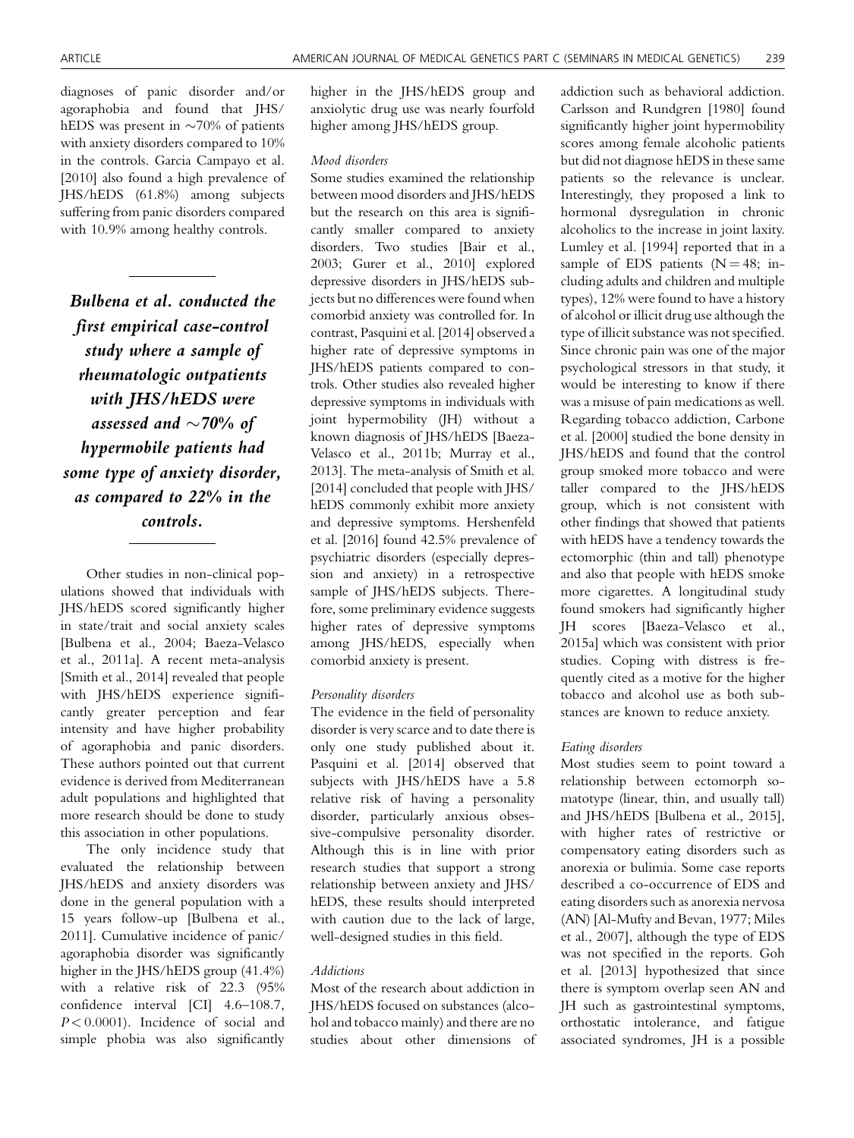diagnoses of panic disorder and/or agoraphobia and found that JHS/ hEDS was present in  $\sim$ 70% of patients with anxiety disorders compared to 10% in the controls. Garcia Campayo et al. [2010] also found a high prevalence of JHS/hEDS (61.8%) among subjects suffering from panic disorders compared with 10.9% among healthy controls.

Bulbena et al. conducted the first empirical case-control study where a sample of rheumatologic outpatients with JHS/hEDS were assessed and  $\sim$  70% of hypermobile patients had some type of anxiety disorder, as compared to 22% in the controls.

Other studies in non-clinical populations showed that individuals with JHS/hEDS scored significantly higher in state/trait and social anxiety scales [Bulbena et al., 2004; Baeza-Velasco et al., 2011a]. A recent meta-analysis [Smith et al., 2014] revealed that people with JHS/hEDS experience significantly greater perception and fear intensity and have higher probability of agoraphobia and panic disorders. These authors pointed out that current evidence is derived from Mediterranean adult populations and highlighted that more research should be done to study this association in other populations.

The only incidence study that evaluated the relationship between JHS/hEDS and anxiety disorders was done in the general population with a 15 years follow-up [Bulbena et al., 2011]. Cumulative incidence of panic/ agoraphobia disorder was significantly higher in the JHS/hEDS group (41.4%) with a relative risk of 22.3 (95% confidence interval [CI] 4.6–108.7,  $P < 0.0001$ ). Incidence of social and simple phobia was also significantly higher in the JHS/hEDS group and anxiolytic drug use was nearly fourfold higher among JHS/hEDS group.

# Mood disorders

Some studies examined the relationship between mood disorders and JHS/hEDS but the research on this area is significantly smaller compared to anxiety disorders. Two studies [Bair et al., 2003; Gurer et al., 2010] explored depressive disorders in JHS/hEDS subjects but no differences were found when comorbid anxiety was controlled for. In contrast, Pasquini et al. [2014] observed a higher rate of depressive symptoms in JHS/hEDS patients compared to controls. Other studies also revealed higher depressive symptoms in individuals with joint hypermobility (JH) without a known diagnosis of JHS/hEDS [Baeza-Velasco et al., 2011b; Murray et al., 2013]. The meta-analysis of Smith et al. [2014] concluded that people with JHS/ hEDS commonly exhibit more anxiety and depressive symptoms. Hershenfeld et al. [2016] found 42.5% prevalence of psychiatric disorders (especially depression and anxiety) in a retrospective sample of JHS/hEDS subjects. Therefore, some preliminary evidence suggests higher rates of depressive symptoms among JHS/hEDS, especially when comorbid anxiety is present.

# Personality disorders

The evidence in the field of personality disorder is very scarce and to date there is only one study published about it. Pasquini et al. [2014] observed that subjects with JHS/hEDS have a 5.8 relative risk of having a personality disorder, particularly anxious obsessive-compulsive personality disorder. Although this is in line with prior research studies that support a strong relationship between anxiety and JHS/ hEDS, these results should interpreted with caution due to the lack of large, well-designed studies in this field.

# Addictions

Most of the research about addiction in JHS/hEDS focused on substances (alcohol and tobacco mainly) and there are no studies about other dimensions of

addiction such as behavioral addiction. Carlsson and Rundgren [1980] found significantly higher joint hypermobility scores among female alcoholic patients but did not diagnose hEDS in these same patients so the relevance is unclear. Interestingly, they proposed a link to hormonal dysregulation in chronic alcoholics to the increase in joint laxity. Lumley et al. [1994] reported that in a sample of EDS patients  $(N = 48;$  including adults and children and multiple types), 12% were found to have a history of alcohol or illicit drug use although the type of illicit substance was not specified. Since chronic pain was one of the major psychological stressors in that study, it would be interesting to know if there was a misuse of pain medications as well. Regarding tobacco addiction, Carbone et al. [2000] studied the bone density in JHS/hEDS and found that the control group smoked more tobacco and were taller compared to the JHS/hEDS group, which is not consistent with other findings that showed that patients with hEDS have a tendency towards the ectomorphic (thin and tall) phenotype and also that people with hEDS smoke more cigarettes. A longitudinal study found smokers had significantly higher JH scores [Baeza-Velasco et al., 2015a] which was consistent with prior studies. Coping with distress is frequently cited as a motive for the higher tobacco and alcohol use as both substances are known to reduce anxiety.

# Eating disorders

Most studies seem to point toward a relationship between ectomorph somatotype (linear, thin, and usually tall) and JHS/hEDS [Bulbena et al., 2015], with higher rates of restrictive or compensatory eating disorders such as anorexia or bulimia. Some case reports described a co-occurrence of EDS and eating disorders such as anorexia nervosa (AN) [Al-Mufty and Bevan, 1977; Miles et al., 2007], although the type of EDS was not specified in the reports. Goh et al. [2013] hypothesized that since there is symptom overlap seen AN and JH such as gastrointestinal symptoms, orthostatic intolerance, and fatigue associated syndromes, JH is a possible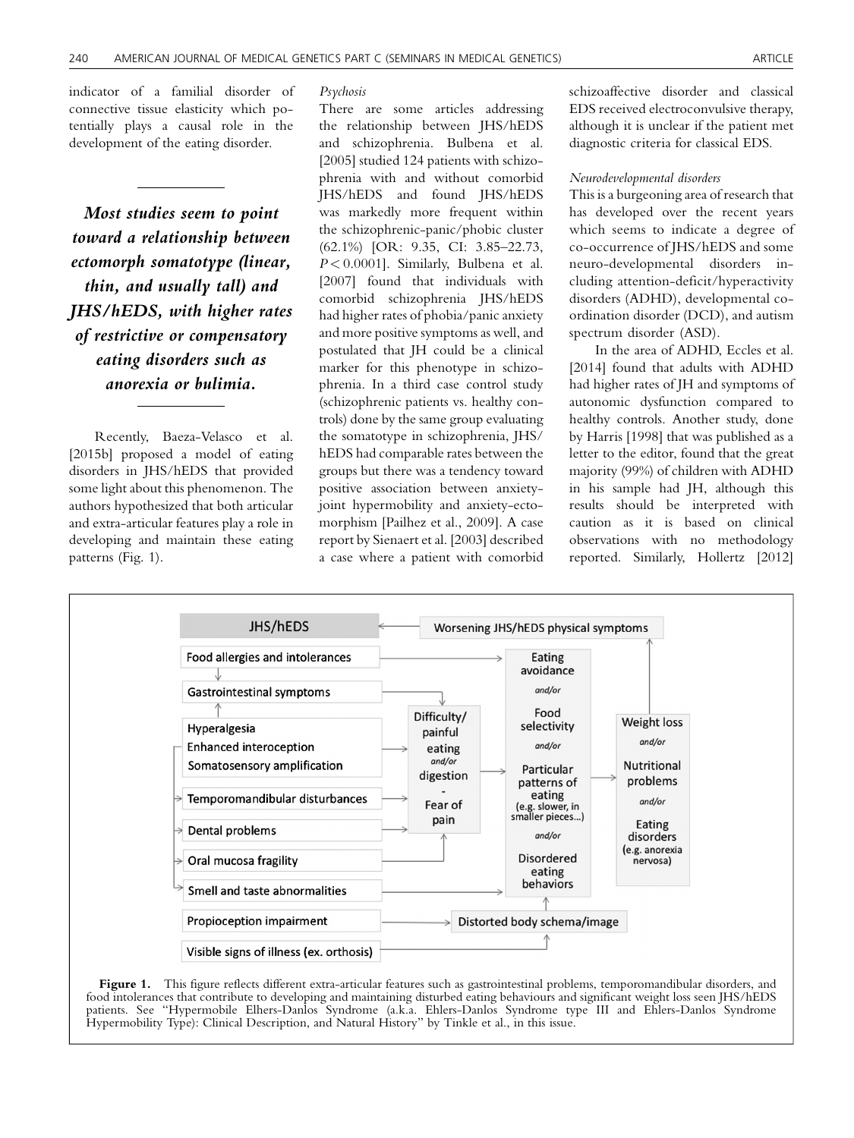indicator of a familial disorder of connective tissue elasticity which potentially plays a causal role in the development of the eating disorder.

Most studies seem to point toward a relationship between ectomorph somatotype (linear, thin, and usually tall) and JHS/hEDS, with higher rates of restrictive or compensatory eating disorders such as anorexia or bulimia.

Recently, Baeza-Velasco et al. [2015b] proposed a model of eating disorders in JHS/hEDS that provided some light about this phenomenon. The authors hypothesized that both articular and extra-articular features play a role in developing and maintain these eating patterns (Fig. 1).

#### Psychosis

There are some articles addressing the relationship between JHS/hEDS and schizophrenia. Bulbena et al. [2005] studied 124 patients with schizophrenia with and without comorbid JHS/hEDS and found JHS/hEDS was markedly more frequent within the schizophrenic-panic/phobic cluster (62.1%) [OR: 9.35, CI: 3.85–22.73,  $P < 0.0001$ ]. Similarly, Bulbena et al. [2007] found that individuals with comorbid schizophrenia JHS/hEDS had higher rates of phobia/panic anxiety and more positive symptoms as well, and postulated that JH could be a clinical marker for this phenotype in schizophrenia. In a third case control study (schizophrenic patients vs. healthy controls) done by the same group evaluating the somatotype in schizophrenia, JHS/ hEDS had comparable rates between the groups but there was a tendency toward positive association between anxietyjoint hypermobility and anxiety-ectomorphism [Pailhez et al., 2009]. A case report by Sienaert et al. [2003] described a case where a patient with comorbid schizoaffective disorder and classical EDS received electroconvulsive therapy, although it is unclear if the patient met diagnostic criteria for classical EDS.

#### Neurodevelopmental disorders

This is a burgeoning area of research that has developed over the recent years which seems to indicate a degree of co-occurrence of JHS/hEDS and some neuro-developmental disorders including attention-deficit/hyperactivity disorders (ADHD), developmental coordination disorder (DCD), and autism spectrum disorder (ASD).

In the area of ADHD, Eccles et al. [2014] found that adults with ADHD had higher rates of JH and symptoms of autonomic dysfunction compared to healthy controls. Another study, done by Harris [1998] that was published as a letter to the editor, found that the great majority (99%) of children with ADHD in his sample had JH, although this results should be interpreted with caution as it is based on clinical observations with no methodology reported. Similarly, Hollertz [2012]



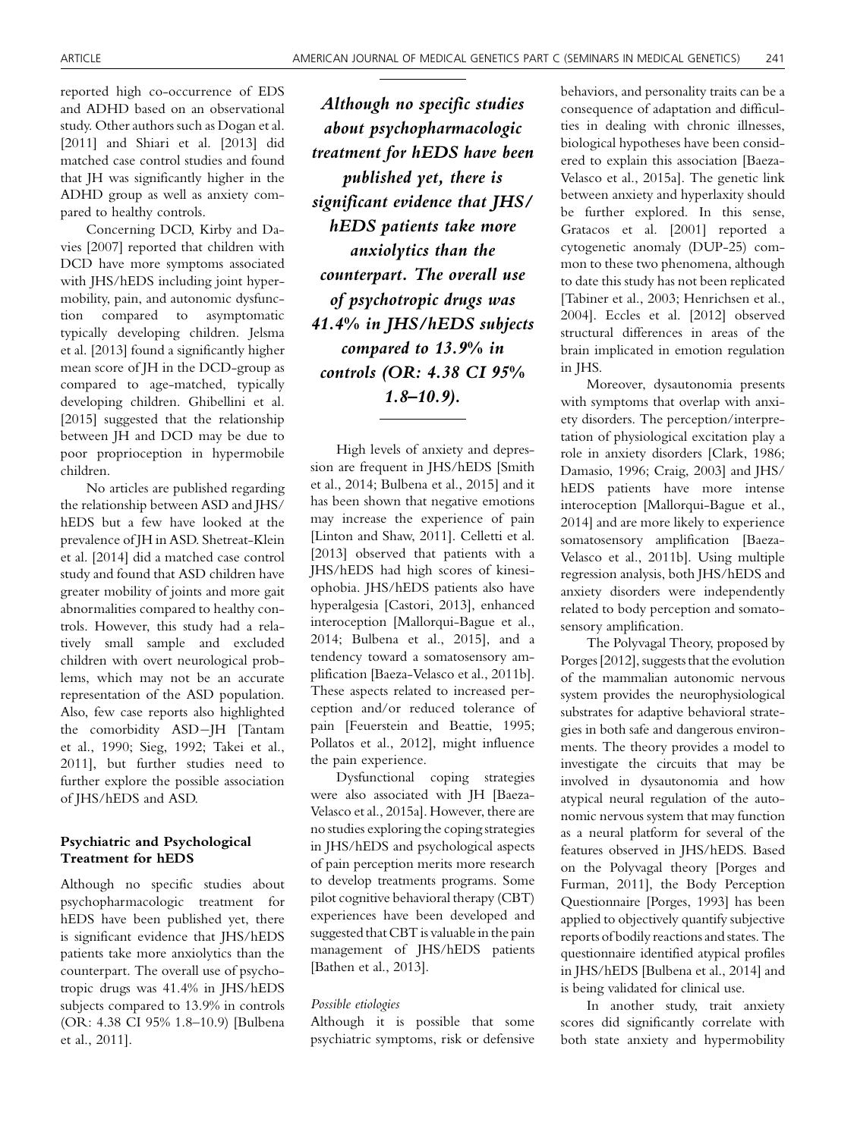reported high co-occurrence of EDS and ADHD based on an observational study. Other authors such as Dogan et al. [2011] and Shiari et al. [2013] did matched case control studies and found that JH was significantly higher in the ADHD group as well as anxiety compared to healthy controls.

Concerning DCD, Kirby and Davies [2007] reported that children with DCD have more symptoms associated with JHS/hEDS including joint hypermobility, pain, and autonomic dysfunction compared to asymptomatic typically developing children. Jelsma et al. [2013] found a significantly higher mean score of JH in the DCD-group as compared to age-matched, typically developing children. Ghibellini et al. [2015] suggested that the relationship between JH and DCD may be due to poor proprioception in hypermobile children.

No articles are published regarding the relationship between ASD and JHS/ hEDS but a few have looked at the prevalence of JH in ASD. Shetreat-Klein et al. [2014] did a matched case control study and found that ASD children have greater mobility of joints and more gait abnormalities compared to healthy controls. However, this study had a relatively small sample and excluded children with overt neurological problems, which may not be an accurate representation of the ASD population. Also, few case reports also highlighted the comorbidity ASD-JH [Tantam et al., 1990; Sieg, 1992; Takei et al., 2011], but further studies need to further explore the possible association of JHS/hEDS and ASD.

# Psychiatric and Psychological Treatment for hEDS

Although no specific studies about psychopharmacologic treatment for hEDS have been published yet, there is significant evidence that JHS/hEDS patients take more anxiolytics than the counterpart. The overall use of psychotropic drugs was 41.4% in JHS/hEDS subjects compared to 13.9% in controls (OR: 4.38 CI 95% 1.8–10.9) [Bulbena et al., 2011].

Although no specific studies about psychopharmacologic treatment for hEDS have been published yet, there is significant evidence that JHS/ hEDS patients take more anxiolytics than the counterpart. The overall use of psychotropic drugs was 41.4% in JHS/hEDS subjects compared to 13.9% in controls (OR: 4.38 CI 95% 1.8–10.9).

High levels of anxiety and depression are frequent in JHS/hEDS [Smith et al., 2014; Bulbena et al., 2015] and it has been shown that negative emotions may increase the experience of pain [Linton and Shaw, 2011]. Celletti et al. [2013] observed that patients with a JHS/hEDS had high scores of kinesiophobia. JHS/hEDS patients also have hyperalgesia [Castori, 2013], enhanced interoception [Mallorqui-Bague et al., 2014; Bulbena et al., 2015], and a tendency toward a somatosensory amplification [Baeza-Velasco et al., 2011b]. These aspects related to increased perception and/or reduced tolerance of pain [Feuerstein and Beattie, 1995; Pollatos et al., 2012], might influence the pain experience.

Dysfunctional coping strategies were also associated with JH [Baeza-Velasco et al., 2015a]. However, there are no studies exploring the coping strategies in JHS/hEDS and psychological aspects of pain perception merits more research to develop treatments programs. Some pilot cognitive behavioral therapy (CBT) experiences have been developed and suggested that CBT is valuable in the pain management of JHS/hEDS patients [Bathen et al., 2013].

# Possible etiologies

Although it is possible that some psychiatric symptoms, risk or defensive behaviors, and personality traits can be a consequence of adaptation and difficulties in dealing with chronic illnesses, biological hypotheses have been considered to explain this association [Baeza-Velasco et al., 2015a]. The genetic link between anxiety and hyperlaxity should be further explored. In this sense, Gratacos et al. [2001] reported a cytogenetic anomaly (DUP-25) common to these two phenomena, although to date this study has not been replicated [Tabiner et al., 2003; Henrichsen et al., 2004]. Eccles et al. [2012] observed structural differences in areas of the brain implicated in emotion regulation in JHS.

Moreover, dysautonomia presents with symptoms that overlap with anxiety disorders. The perception/interpretation of physiological excitation play a role in anxiety disorders [Clark, 1986; Damasio, 1996; Craig, 2003] and JHS/ hEDS patients have more intense interoception [Mallorqui-Bague et al., 2014] and are more likely to experience somatosensory amplification [Baeza-Velasco et al., 2011b]. Using multiple regression analysis, both JHS/hEDS and anxiety disorders were independently related to body perception and somatosensory amplification.

The Polyvagal Theory, proposed by Porges [2012], suggests that the evolution of the mammalian autonomic nervous system provides the neurophysiological substrates for adaptive behavioral strategies in both safe and dangerous environments. The theory provides a model to investigate the circuits that may be involved in dysautonomia and how atypical neural regulation of the autonomic nervous system that may function as a neural platform for several of the features observed in JHS/hEDS. Based on the Polyvagal theory [Porges and Furman, 2011], the Body Perception Questionnaire [Porges, 1993] has been applied to objectively quantify subjective reports of bodily reactions and states. The questionnaire identified atypical profiles in JHS/hEDS [Bulbena et al., 2014] and is being validated for clinical use.

In another study, trait anxiety scores did significantly correlate with both state anxiety and hypermobility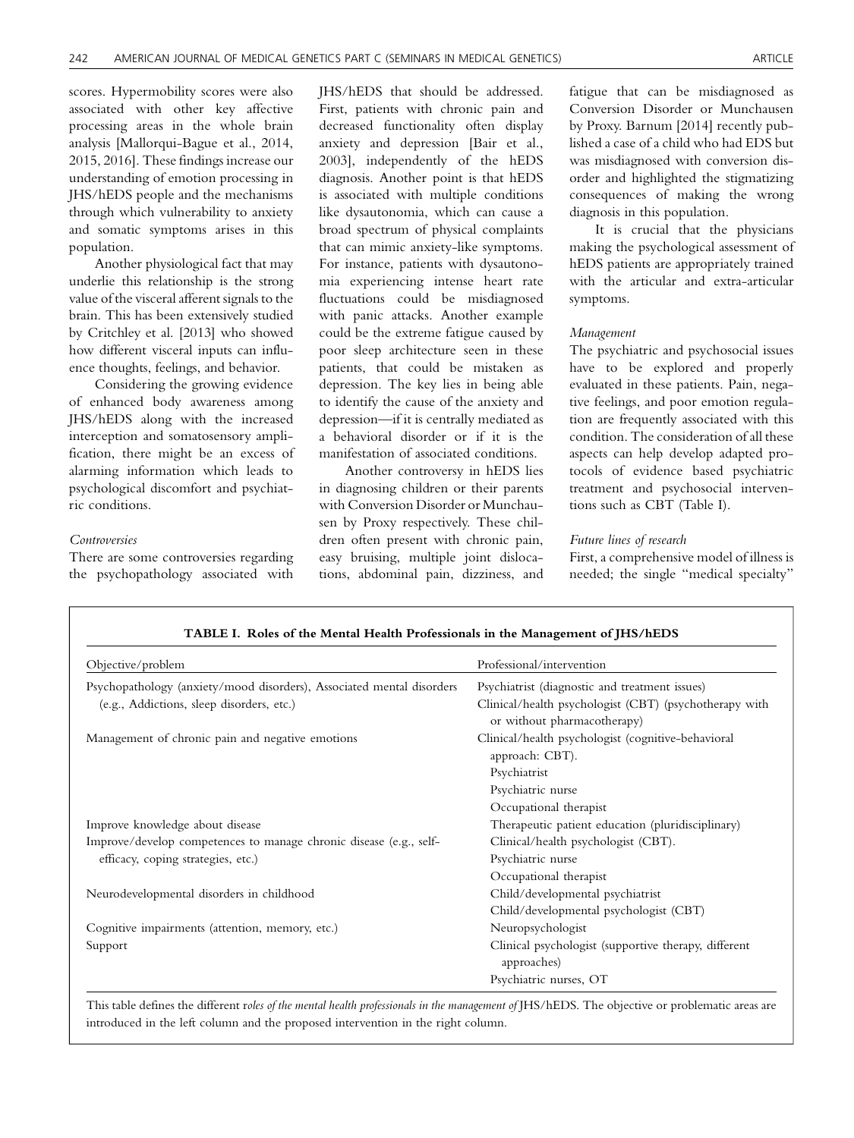scores. Hypermobility scores were also associated with other key affective processing areas in the whole brain analysis [Mallorqui-Bague et al., 2014, 2015, 2016]. These findings increase our understanding of emotion processing in JHS/hEDS people and the mechanisms through which vulnerability to anxiety and somatic symptoms arises in this population.

Another physiological fact that may underlie this relationship is the strong value of the visceral afferent signals to the brain. This has been extensively studied by Critchley et al. [2013] who showed how different visceral inputs can influence thoughts, feelings, and behavior.

Considering the growing evidence of enhanced body awareness among JHS/hEDS along with the increased interception and somatosensory amplification, there might be an excess of alarming information which leads to psychological discomfort and psychiatric conditions.

## Controversies

There are some controversies regarding the psychopathology associated with JHS/hEDS that should be addressed. First, patients with chronic pain and decreased functionality often display anxiety and depression [Bair et al., 2003], independently of the hEDS diagnosis. Another point is that hEDS is associated with multiple conditions like dysautonomia, which can cause a broad spectrum of physical complaints that can mimic anxiety-like symptoms. For instance, patients with dysautonomia experiencing intense heart rate fluctuations could be misdiagnosed with panic attacks. Another example could be the extreme fatigue caused by poor sleep architecture seen in these patients, that could be mistaken as depression. The key lies in being able to identify the cause of the anxiety and depression—if it is centrally mediated as a behavioral disorder or if it is the manifestation of associated conditions.

Another controversy in hEDS lies in diagnosing children or their parents with Conversion Disorder or Munchausen by Proxy respectively. These children often present with chronic pain, easy bruising, multiple joint dislocations, abdominal pain, dizziness, and fatigue that can be misdiagnosed as Conversion Disorder or Munchausen by Proxy. Barnum [2014] recently published a case of a child who had EDS but was misdiagnosed with conversion disorder and highlighted the stigmatizing consequences of making the wrong diagnosis in this population.

It is crucial that the physicians making the psychological assessment of hEDS patients are appropriately trained with the articular and extra-articular symptoms.

## Management

The psychiatric and psychosocial issues have to be explored and properly evaluated in these patients. Pain, negative feelings, and poor emotion regulation are frequently associated with this condition. The consideration of all these aspects can help develop adapted protocols of evidence based psychiatric treatment and psychosocial interventions such as CBT (Table I).

## Future lines of research

First, a comprehensive model of illness is needed; the single "medical specialty"

| Objective/problem                                                     | Professional/intervention                                                             |
|-----------------------------------------------------------------------|---------------------------------------------------------------------------------------|
| Psychopathology (anxiety/mood disorders), Associated mental disorders | Psychiatrist (diagnostic and treatment issues)                                        |
| (e.g., Addictions, sleep disorders, etc.)                             | Clinical/health psychologist (CBT) (psychotherapy with<br>or without pharmacotherapy) |
| Management of chronic pain and negative emotions                      | Clinical/health psychologist (cognitive-behavioral                                    |
|                                                                       | approach: CBT).                                                                       |
|                                                                       | Psychiatrist                                                                          |
|                                                                       | Psychiatric nurse                                                                     |
|                                                                       | Occupational therapist                                                                |
| Improve knowledge about disease                                       | Therapeutic patient education (pluridisciplinary)                                     |
| Improve/develop competences to manage chronic disease (e.g., self-    | Clinical/health psychologist (CBT).                                                   |
| efficacy, coping strategies, etc.)                                    | Psychiatric nurse                                                                     |
|                                                                       | Occupational therapist                                                                |
| Neurodevelopmental disorders in childhood                             | Child/developmental psychiatrist                                                      |
|                                                                       | Child/developmental psychologist (CBT)                                                |
| Cognitive impairments (attention, memory, etc.)                       | Neuropsychologist                                                                     |
| Support                                                               | Clinical psychologist (supportive therapy, different<br>approaches)                   |
|                                                                       | Psychiatric nurses, OT                                                                |

#### TABLE I. Roles of the Mental Health Professionals in the Management of JHS/hEDS

This table defines the different roles of the mental health professionals in the management of JHS/hEDS. The objective or problematic areas are introduced in the left column and the proposed intervention in the right column.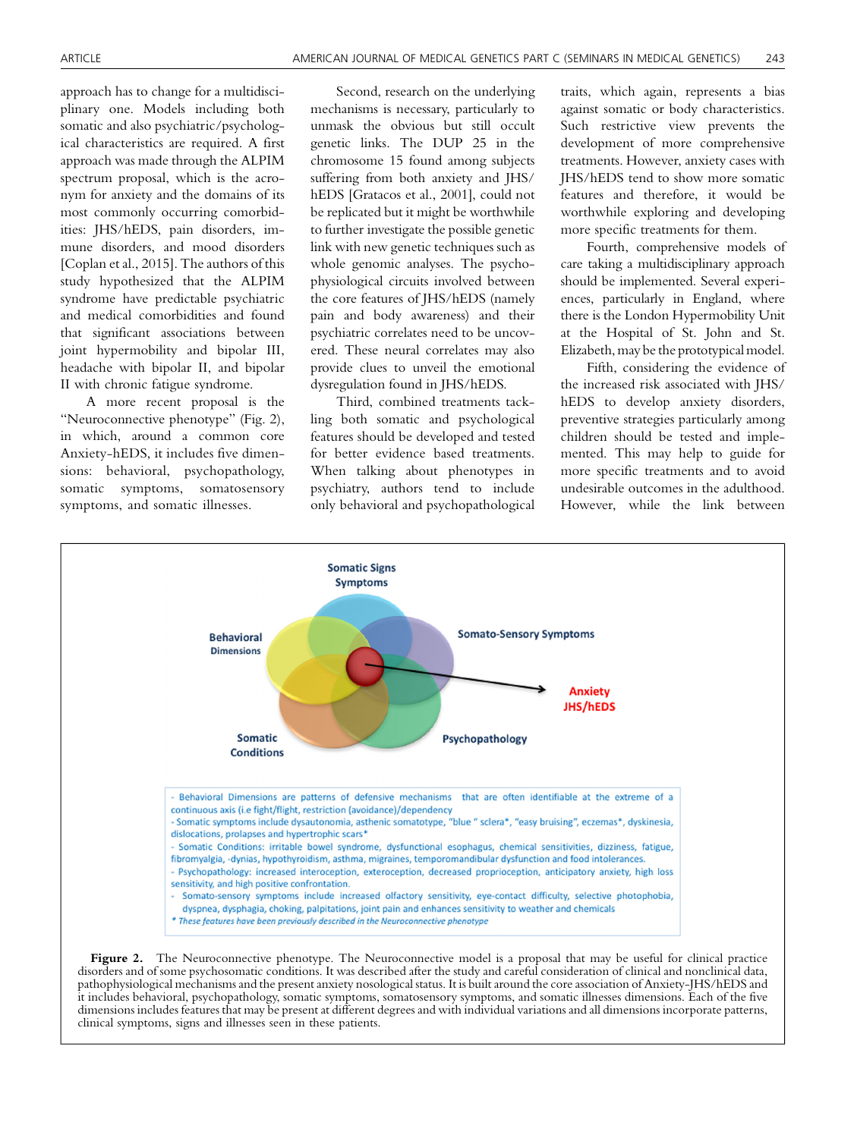approach has to change for a multidisciplinary one. Models including both somatic and also psychiatric/psychological characteristics are required. A first approach was made through the ALPIM spectrum proposal, which is the acronym for anxiety and the domains of its most commonly occurring comorbidities: JHS/hEDS, pain disorders, immune disorders, and mood disorders [Coplan et al., 2015]. The authors of this study hypothesized that the ALPIM syndrome have predictable psychiatric and medical comorbidities and found that significant associations between joint hypermobility and bipolar III, headache with bipolar II, and bipolar II with chronic fatigue syndrome.

A more recent proposal is the "Neuroconnective phenotype" (Fig. 2), in which, around a common core Anxiety-hEDS, it includes five dimensions: behavioral, psychopathology, somatic symptoms, somatosensory symptoms, and somatic illnesses.

Second, research on the underlying mechanisms is necessary, particularly to unmask the obvious but still occult genetic links. The DUP 25 in the chromosome 15 found among subjects suffering from both anxiety and JHS/ hEDS [Gratacos et al., 2001], could not be replicated but it might be worthwhile to further investigate the possible genetic link with new genetic techniques such as whole genomic analyses. The psychophysiological circuits involved between the core features of JHS/hEDS (namely pain and body awareness) and their psychiatric correlates need to be uncovered. These neural correlates may also provide clues to unveil the emotional dysregulation found in JHS/hEDS.

Third, combined treatments tackling both somatic and psychological features should be developed and tested for better evidence based treatments. When talking about phenotypes in psychiatry, authors tend to include only behavioral and psychopathological

traits, which again, represents a bias against somatic or body characteristics. Such restrictive view prevents the development of more comprehensive treatments. However, anxiety cases with JHS/hEDS tend to show more somatic features and therefore, it would be worthwhile exploring and developing more specific treatments for them.

Fourth, comprehensive models of care taking a multidisciplinary approach should be implemented. Several experiences, particularly in England, where there is the London Hypermobility Unit at the Hospital of St. John and St. Elizabeth, may be the prototypical model.

Fifth, considering the evidence of the increased risk associated with JHS/ hEDS to develop anxiety disorders, preventive strategies particularly among children should be tested and implemented. This may help to guide for more specific treatments and to avoid undesirable outcomes in the adulthood. However, while the link between



Figure 2. The Neuroconnective phenotype. The Neuroconnective model is a proposal that may be useful for clinical practice disorders and of some psychosomatic conditions. It was described after the study and careful consideration of clinical and nonclinical data, pathophysiological mechanisms and the present anxiety nosological status. It is built around the core association of Anxiety-JHS/hEDS and it includes behavioral, psychopathology, somatic symptoms, somatosensory symptoms, and somatic illnesses dimensions. Each of the five dimensions includes features that may be present at different degrees and with individual variations and all dimensions incorporate patterns, clinical symptoms, signs and illnesses seen in these patients.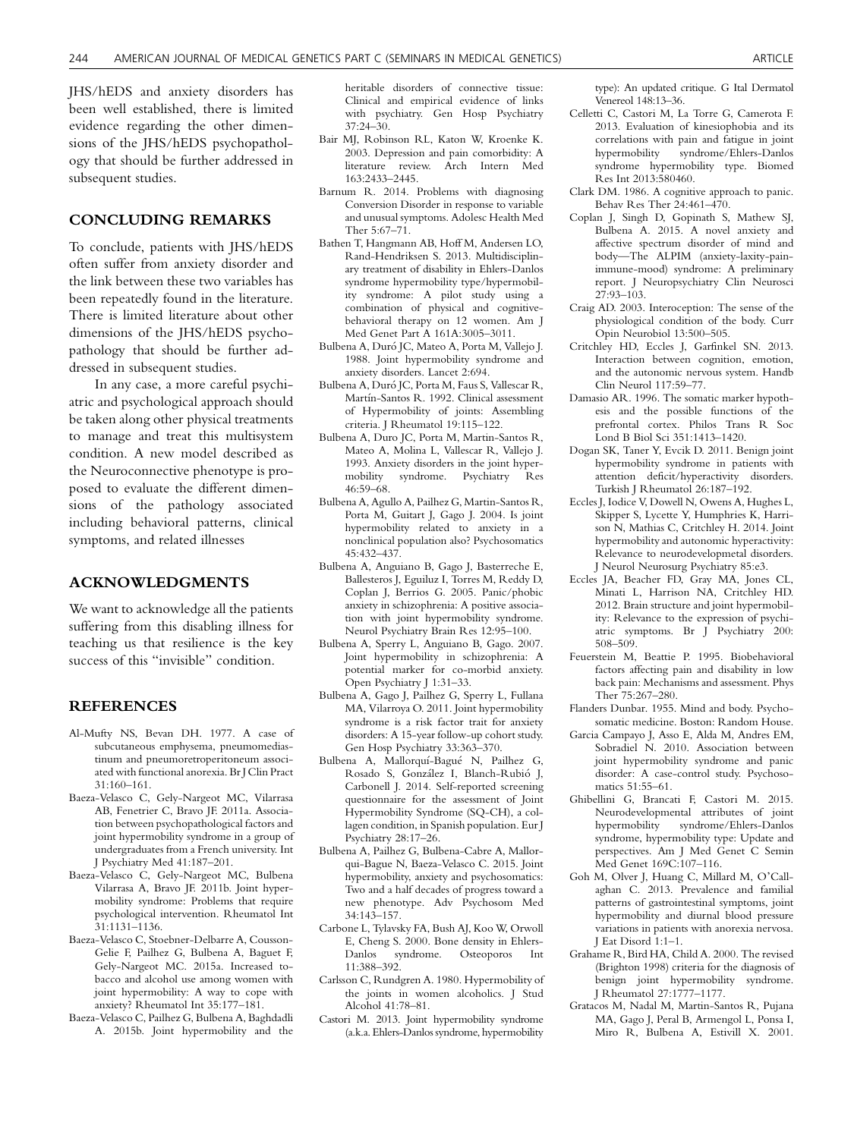JHS/hEDS and anxiety disorders has been well established, there is limited evidence regarding the other dimensions of the JHS/hEDS psychopathology that should be further addressed in subsequent studies.

# CONCLUDING REMARKS

To conclude, patients with JHS/hEDS often suffer from anxiety disorder and the link between these two variables has been repeatedly found in the literature. There is limited literature about other dimensions of the JHS/hEDS psychopathology that should be further addressed in subsequent studies.

In any case, a more careful psychiatric and psychological approach should be taken along other physical treatments to manage and treat this multisystem condition. A new model described as the Neuroconnective phenotype is proposed to evaluate the different dimensions of the pathology associated including behavioral patterns, clinical symptoms, and related illnesses

## ACKNOWLEDGMENTS

We want to acknowledge all the patients suffering from this disabling illness for teaching us that resilience is the key success of this "invisible" condition.

## REFERENCES

- Al-Mufty NS, Bevan DH. 1977. A case of subcutaneous emphysema, pneumomediastinum and pneumoretroperitoneum associated with functional anorexia. Br J Clin Pract 31:160–161.
- Baeza-Velasco C, Gely-Nargeot MC, Vilarrasa AB, Fenetrier C, Bravo JF. 2011a. Association between psychopathological factors and joint hypermobility syndrome in a group of undergraduates from a French university. Int J Psychiatry Med 41:187–201.
- Baeza-Velasco C, Gely-Nargeot MC, Bulbena Vilarrasa A, Bravo JF. 2011b. Joint hypermobility syndrome: Problems that require psychological intervention. Rheumatol Int 31:1131–1136.
- Baeza-Velasco C, Stoebner-Delbarre A, Cousson-Gelie F, Pailhez G, Bulbena A, Baguet F, Gely-Nargeot MC. 2015a. Increased tobacco and alcohol use among women with joint hypermobility: A way to cope with anxiety? Rheumatol Int 35:177–181.
- Baeza-Velasco C, Pailhez G, Bulbena A, Baghdadli A. 2015b. Joint hypermobility and the

heritable disorders of connective tissue: Clinical and empirical evidence of links with psychiatry. Gen Hosp Psychiatry 37:24–30.

- Bair MJ, Robinson RL, Katon W, Kroenke K. 2003. Depression and pain comorbidity: A literature review. Arch Intern Med 163:2433–2445.
- Barnum R. 2014. Problems with diagnosing Conversion Disorder in response to variable and unusual symptoms. Adolesc Health Med Ther 5:67–71.
- Bathen T, Hangmann AB, Hoff M, Andersen LO, Rand-Hendriksen S. 2013. Multidisciplinary treatment of disability in Ehlers-Danlos syndrome hypermobility type/hypermobility syndrome: A pilot study using a combination of physical and cognitivebehavioral therapy on 12 women. Am J Med Genet Part A 161A:3005–3011.
- Bulbena A, Duró JC, Mateo A, Porta M, Vallejo J. 1988. Joint hypermobility syndrome and anxiety disorders. Lancet 2:694.
- Bulbena A, Duró JC, Porta M, Faus S, Vallescar R, Martín-Santos R. 1992. Clinical assessment of Hypermobility of joints: Assembling criteria. J Rheumatol 19:115–122.
- Bulbena A, Duro JC, Porta M, Martin-Santos R, Mateo A, Molina L, Vallescar R, Vallejo J. 1993. Anxiety disorders in the joint hypermobility syndrome. Psychiatry Res 46:59–68.
- Bulbena A, Agullo A, Pailhez G, Martin-Santos R, Porta M, Guitart J, Gago J. 2004. Is joint hypermobility related to anxiety in a nonclinical population also? Psychosomatics 45:432–437.
- Bulbena A, Anguiano B, Gago J, Basterreche E, Ballesteros J, Eguiluz I, Torres M, Reddy D, Coplan J, Berrios G. 2005. Panic/phobic anxiety in schizophrenia: A positive association with joint hypermobility syndrome. Neurol Psychiatry Brain Res 12:95–100.
- Bulbena A, Sperry L, Anguiano B, Gago. 2007. Joint hypermobility in schizophrenia: A potential marker for co-morbid anxiety. Open Psychiatry J 1:31–33.
- Bulbena A, Gago J, Pailhez G, Sperry L, Fullana MA, Vilarroya O. 2011. Joint hypermobility syndrome is a risk factor trait for anxiety disorders: A 15-year follow-up cohort study. Gen Hosp Psychiatry 33:363–370.
- Bulbena A, Mallorquí-Bagué N, Pailhez G, Rosado S, González I, Blanch-Rubió J, Carbonell J. 2014. Self-reported screening questionnaire for the assessment of Joint Hypermobility Syndrome (SQ-CH), a collagen condition, in Spanish population. Eur J Psychiatry 28:17–26.
- Bulbena A, Pailhez G, Bulbena-Cabre A, Mallorqui-Bague N, Baeza-Velasco C. 2015. Joint hypermobility, anxiety and psychosomatics: Two and a half decades of progress toward a new phenotype. Adv Psychosom Med 34:143–157.
- Carbone L, Tylavsky FA, Bush AJ, Koo W, Orwoll E, Cheng S. 2000. Bone density in Ehlers-Danlos syndrome. Osteoporos Int 11:388–392.
- Carlsson C, Rundgren A. 1980. Hypermobility of the joints in women alcoholics. J Stud Alcohol 41:78–81.
- Castori M. 2013. Joint hypermobility syndrome (a.k.a. Ehlers-Danlos syndrome, hypermobility

type): An updated critique. G Ital Dermatol Venereol 148:13–36.

- Celletti C, Castori M, La Torre G, Camerota F. 2013. Evaluation of kinesiophobia and its correlations with pain and fatigue in joint hypermobility syndrome/Ehlers-Danlos syndrome hypermobility type. Biomed Res Int 2013:580460.
- Clark DM. 1986. A cognitive approach to panic. Behav Res Ther 24:461–470.
- Coplan J, Singh D, Gopinath S, Mathew SJ, Bulbena A. 2015. A novel anxiety and affective spectrum disorder of mind and body—The ALPIM (anxiety-laxity-painimmune-mood) syndrome: A preliminary report. J Neuropsychiatry Clin Neurosci 27:93–103.
- Craig AD. 2003. Interoception: The sense of the physiological condition of the body. Curr Opin Neurobiol 13:500–505.
- Critchley HD, Eccles J, Garfinkel SN. 2013. Interaction between cognition, emotion, and the autonomic nervous system. Handb Clin Neurol 117:59–77.
- Damasio AR. 1996. The somatic marker hypothesis and the possible functions of the prefrontal cortex. Philos Trans R Soc Lond B Biol Sci 351:1413–1420.
- Dogan SK, Taner Y, Evcik D. 2011. Benign joint hypermobility syndrome in patients with attention deficit/hyperactivity disorders. Turkish J Rheumatol 26:187–192.
- Eccles J, Iodice V, Dowell N, Owens A, Hughes L, Skipper S, Lycette Y, Humphries K, Harrison N, Mathias C, Critchley H. 2014. Joint hypermobility and autonomic hyperactivity: Relevance to neurodevelopmetal disorders. J Neurol Neurosurg Psychiatry 85:e3.
- Eccles JA, Beacher FD, Gray MA, Jones CL, Minati L, Harrison NA, Critchley HD. 2012. Brain structure and joint hypermobility: Relevance to the expression of psychiatric symptoms. Br J Psychiatry 200: 508–509.
- Feuerstein M, Beattie P. 1995. Biobehavioral factors affecting pain and disability in low back pain: Mechanisms and assessment. Phys Ther 75:267–280.
- Flanders Dunbar. 1955. Mind and body. Psychosomatic medicine. Boston: Random House.
- Garcia Campayo J, Asso E, Alda M, Andres EM, Sobradiel N. 2010. Association between joint hypermobility syndrome and panic disorder: A case-control study. Psychosomatics 51:55–61.
- Ghibellini G, Brancati F, Castori M. 2015. Neurodevelopmental attributes of joint hypermobility syndrome/Ehlers-Danlos syndrome, hypermobility type: Update and perspectives. Am J Med Genet C Semin Med Genet 169C:107–116.
- Goh M, Olver J, Huang C, Millard M, O'Callaghan C. 2013. Prevalence and familial patterns of gastrointestinal symptoms, joint hypermobility and diurnal blood pressure variations in patients with anorexia nervosa. J Eat Disord 1:1–1.
- Grahame R, Bird HA, Child A. 2000. The revised (Brighton 1998) criteria for the diagnosis of benign joint hypermobility syndrome. J Rheumatol 27:1777–1177.
- Gratacos M, Nadal M, Martin-Santos R, Pujana MA, Gago J, Peral B, Armengol L, Ponsa I, Miro R, Bulbena A, Estivill X. 2001.